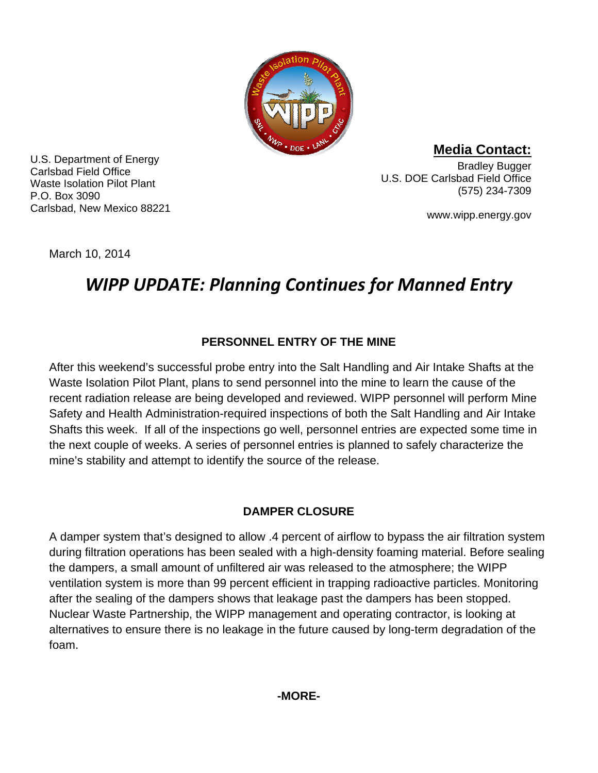

U.S. Department of Energy Carlsbad Field Office Waste Isolation Pilot Plant P.O. Box 3090 Carlsbad, New Mexico 88221

**Media Contact:** Bradley Bugger U.S. DOE Carlsbad Field Office

(575) 234-7309

www.wipp.energy.gov

March 10, 2014

# *WIPP UPDATE: Planning Continues for Manned Entry*

## **PERSONNEL ENTRY OF THE MINE**

After this weekend's successful probe entry into the Salt Handling and Air Intake Shafts at the Waste Isolation Pilot Plant, plans to send personnel into the mine to learn the cause of the recent radiation release are being developed and reviewed. WIPP personnel will perform Mine Safety and Health Administration-required inspections of both the Salt Handling and Air Intake Shafts this week. If all of the inspections go well, personnel entries are expected some time in the next couple of weeks. A series of personnel entries is planned to safely characterize the mine's stability and attempt to identify the source of the release.

## **DAMPER CLOSURE**

A damper system that's designed to allow .4 percent of airflow to bypass the air filtration system during filtration operations has been sealed with a high-density foaming material. Before sealing the dampers, a small amount of unfiltered air was released to the atmosphere; the WIPP ventilation system is more than 99 percent efficient in trapping radioactive particles. Monitoring after the sealing of the dampers shows that leakage past the dampers has been stopped. Nuclear Waste Partnership, the WIPP management and operating contractor, is looking at alternatives to ensure there is no leakage in the future caused by long-term degradation of the foam.